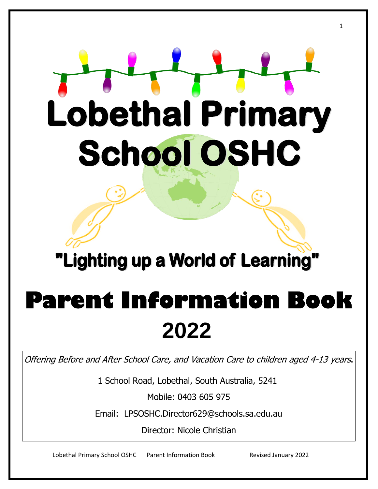# **Lobethal Primary School OSHC**

### "Lighting up a World of Learning"

## **Parent Information Book 2022**

Offering Before and After School Care, and Vacation Care to children aged 4-13 years.

1 School Road, Lobethal, South Australia, 5241

Mobile: 0403 605 975

Email: LPSOSHC.Director629@schools.sa.edu.au

Director: Nicole Christian

Lobethal Primary School OSHC Parent Information Book Revised January 2022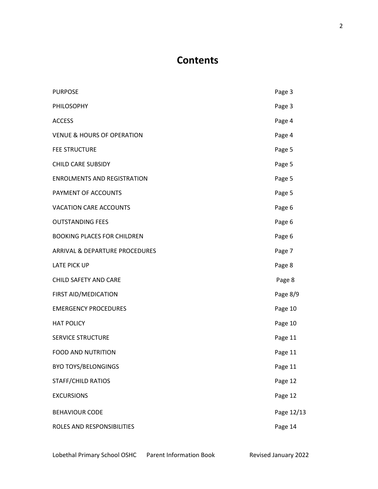#### **Contents**

| <b>PURPOSE</b>                        | Page 3     |
|---------------------------------------|------------|
| PHILOSOPHY                            | Page 3     |
| <b>ACCESS</b>                         | Page 4     |
| <b>VENUE &amp; HOURS OF OPERATION</b> | Page 4     |
| <b>FEE STRUCTURE</b>                  | Page 5     |
| <b>CHILD CARE SUBSIDY</b>             | Page 5     |
| <b>ENROLMENTS AND REGISTRATION</b>    | Page 5     |
| PAYMENT OF ACCOUNTS                   | Page 5     |
| <b>VACATION CARE ACCOUNTS</b>         | Page 6     |
| <b>OUTSTANDING FEES</b>               | Page 6     |
| <b>BOOKING PLACES FOR CHILDREN</b>    | Page 6     |
| ARRIVAL & DEPARTURE PROCEDURES        | Page 7     |
| <b>LATE PICK UP</b>                   | Page 8     |
| CHILD SAFETY AND CARE                 | Page 8     |
| FIRST AID/MEDICATION                  | Page 8/9   |
| <b>EMERGENCY PROCEDURES</b>           | Page 10    |
| <b>HAT POLICY</b>                     | Page 10    |
| <b>SERVICE STRUCTURE</b>              | Page 11    |
| <b>FOOD AND NUTRITION</b>             | Page 11    |
| <b>BYO TOYS/BELONGINGS</b>            | Page 11    |
| <b>STAFF/CHILD RATIOS</b>             | Page 12    |
| <b>EXCURSIONS</b>                     | Page 12    |
| <b>BEHAVIOUR CODE</b>                 | Page 12/13 |
| ROLES AND RESPONSIBILITIES            | Page 14    |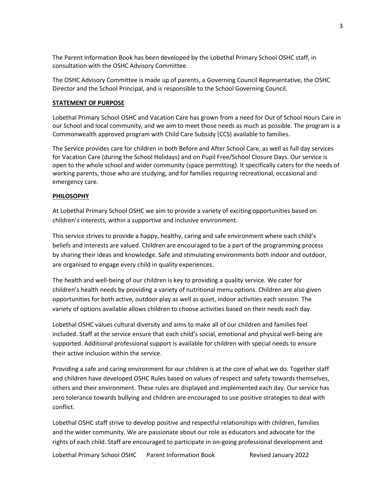The Parent Information Book has been developed by the Lobethal Primary School OSHC staff, in consultation with the OSHC Advisory Committee.

The OSHC Advisory Committee is made up of parents, a Governing Council Representative, the OSHC Director and the School Principal, and is responsible to the School Governing Council.

#### **STATEMENT OF PURPOSE**

Lobethal Primary School OSHC and Vacation Care has grown from a need for Out of School Hours Care in our School and local community, and we aim to meet those needs as much as possible. The program is a Commonwealth approved program with Child Care Subsidy (CCS) available to families.

The Service provides care for children in both Before and After School Care, as well as full day services for Vacation Care (during the School Holidays) and on Pupil Free/School Closure Days. Our service is open to the whole school and wider community (space permitting). It specifically caters for the needs of working parents, those who are studying, and for families requiring recreational, occasional and emergency care.

#### **PHILOSOPHY**

At Lobethal Primary School OSHC we aim to provide a variety of exciting opportunities based on children's interests, within a supportive and inclusive environment.

This service strives to provide a happy, healthy, caring and safe environment where each child's beliefs and interests are valued. Children are encouraged to be a part of the programming process by sharing their ideas and knowledge. Safe and stimulating environments both indoor and outdoor, are organised to engage every child in quality experiences.

The health and well-being of our children is key to providing a quality service. We cater for children's health needs by providing a variety of nutritional menu options. Children are also given opportunities for both active, outdoor play as well as quiet, indoor activities each session. The variety of options available allows children to choose activities based on their needs each day.

Lobethal OSHC values cultural diversity and aims to make all of our children and families feel included. Staff at the service ensure that each child's social, emotional and physical well-being are supported. Additional professional support is available for children with special needs to ensure their active inclusion within the service.

Providing a safe and caring environment for our children is at the core of what we do. Together staff and children have developed OSHC Rules based on values of respect and safety towards themselves, others and their environment. These rules are displayed and implemented each day. Our service has zero tolerance towards bullying and children are encouraged to use positive strategies to deal with conflict.

Lobethal OSHC staff strive to develop positive and respectful relationships with children, families and the wider community. We are passionate about our role as educators and advocate for the rights of each child. Staff are encouraged to participate in on-going professional development and

Lobethal Primary School OSHC Parent Information Book Revised January 2022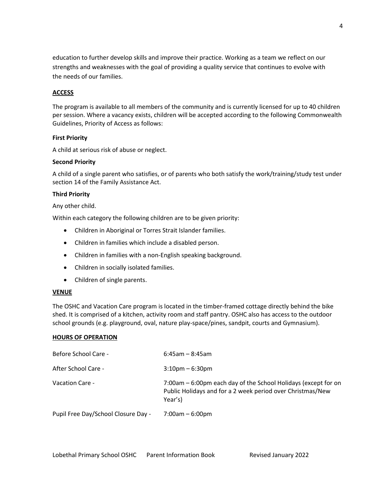education to further develop skills and improve their practice. Working as a team we reflect on our strengths and weaknesses with the goal of providing a quality service that continues to evolve with the needs of our families.

#### **ACCESS**

The program is available to all members of the community and is currently licensed for up to 40 children per session. Where a vacancy exists, children will be accepted according to the following Commonwealth Guidelines, Priority of Access as follows:

#### **First Priority**

A child at serious risk of abuse or neglect.

#### **Second Priority**

A child of a single parent who satisfies, or of parents who both satisfy the work/training/study test under section 14 of the Family Assistance Act.

#### **Third Priority**

Any other child.

Within each category the following children are to be given priority:

- Children in Aboriginal or Torres Strait Islander families.
- Children in families which include a disabled person.
- Children in families with a non-English speaking background.
- Children in socially isolated families.
- Children of single parents.

#### **VENUE**

The OSHC and Vacation Care program is located in the timber-framed cottage directly behind the bike shed. It is comprised of a kitchen, activity room and staff pantry. OSHC also has access to the outdoor school grounds (e.g. playground, oval, nature play-space/pines, sandpit, courts and Gymnasium).

#### **HOURS OF OPERATION**

| Before School Care -                | $6:45$ am - 8:45am                                                                                                                      |
|-------------------------------------|-----------------------------------------------------------------------------------------------------------------------------------------|
| After School Care -                 | $3:10$ pm – 6:30pm                                                                                                                      |
| Vacation Care -                     | 7:00am – 6:00pm each day of the School Holidays (except for on<br>Public Holidays and for a 2 week period over Christmas/New<br>Year's) |
| Pupil Free Day/School Closure Day - | $7:00am - 6:00pm$                                                                                                                       |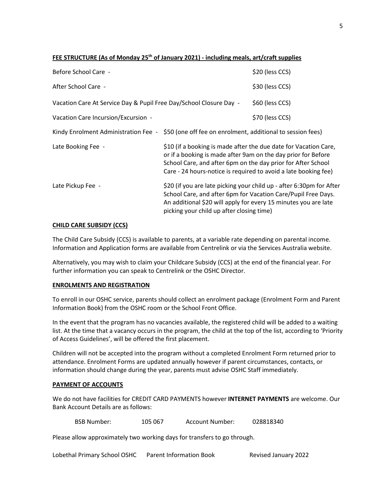#### **FEE STRUCTURE (As of Monday 25th of January 2021) - including meals, art/craft supplies**

| Before School Care -                                                                             |                                                                                                                                                                                                                                                                      | \$20 (less CCS) |
|--------------------------------------------------------------------------------------------------|----------------------------------------------------------------------------------------------------------------------------------------------------------------------------------------------------------------------------------------------------------------------|-----------------|
| After School Care -                                                                              |                                                                                                                                                                                                                                                                      | \$30 (less CCS) |
| Vacation Care At Service Day & Pupil Free Day/School Closure Day -                               |                                                                                                                                                                                                                                                                      | \$60 (less CCS) |
| Vacation Care Incursion/Excursion -                                                              |                                                                                                                                                                                                                                                                      | \$70 (less CCS) |
| Kindy Enrolment Administration Fee - \$50 (one off fee on enrolment, additional to session fees) |                                                                                                                                                                                                                                                                      |                 |
| Late Booking Fee -                                                                               | \$10 (if a booking is made after the due date for Vacation Care,<br>or if a booking is made after 9am on the day prior for Before<br>School Care, and after 6pm on the day prior for After School<br>Care - 24 hours-notice is required to avoid a late booking fee) |                 |
| Late Pickup Fee -                                                                                | \$20 (if you are late picking your child up - after 6:30pm for After<br>School Care, and after 6pm for Vacation Care/Pupil Free Days.<br>An additional \$20 will apply for every 15 minutes you are late<br>picking your child up after closing time)                |                 |

#### **CHILD CARE SUBSIDY (CCS)**

The Child Care Subsidy (CCS) is available to parents, at a variable rate depending on parental income. Information and Application forms are available from Centrelink or via the Services Australia website.

Alternatively, you may wish to claim your Childcare Subsidy (CCS) at the end of the financial year. For further information you can speak to Centrelink or the OSHC Director.

#### **ENROLMENTS AND REGISTRATION**

To enroll in our OSHC service, parents should collect an enrolment package (Enrolment Form and Parent Information Book) from the OSHC room or the School Front Office.

In the event that the program has no vacancies available, the registered child will be added to a waiting list. At the time that a vacancy occurs in the program, the child at the top of the list, according to 'Priority of Access Guidelines', will be offered the first placement.

Children will not be accepted into the program without a completed Enrolment Form returned prior to attendance. Enrolment Forms are updated annually however if parent circumstances, contacts, or information should change during the year, parents must advise OSHC Staff immediately.

#### **PAYMENT OF ACCOUNTS**

We do not have facilities for CREDIT CARD PAYMENTS however **INTERNET PAYMENTS** are welcome. Our Bank Account Details are as follows:

BSB Number: 105 067 Account Number: 028818340

Please allow approximately two working days for transfers to go through.

Lobethal Primary School OSHC Parent Information Book Revised January 2022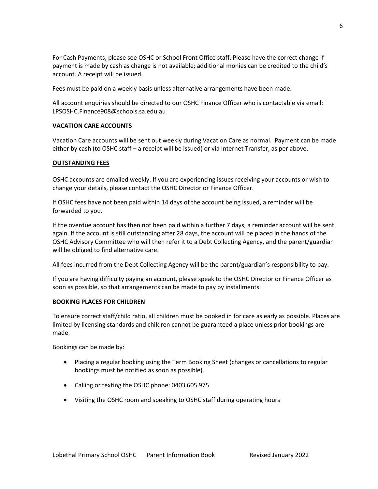For Cash Payments, please see OSHC or School Front Office staff. Please have the correct change if payment is made by cash as change is not available; additional monies can be credited to the child's account. A receipt will be issued.

Fees must be paid on a weekly basis unless alternative arrangements have been made.

All account enquiries should be directed to our OSHC Finance Officer who is contactable via email: LPSOSHC.Finance908@schools.sa.edu.au

#### **VACATION CARE ACCOUNTS**

Vacation Care accounts will be sent out weekly during Vacation Care as normal. Payment can be made either by cash (to OSHC staff – a receipt will be issued) or via Internet Transfer, as per above.

#### **OUTSTANDING FEES**

OSHC accounts are emailed weekly. If you are experiencing issues receiving your accounts or wish to change your details, please contact the OSHC Director or Finance Officer.

If OSHC fees have not been paid within 14 days of the account being issued, a reminder will be forwarded to you.

If the overdue account has then not been paid within a further 7 days, a reminder account will be sent again. If the account is still outstanding after 28 days, the account will be placed in the hands of the OSHC Advisory Committee who will then refer it to a Debt Collecting Agency, and the parent/guardian will be obliged to find alternative care.

All fees incurred from the Debt Collecting Agency will be the parent/guardian's responsibility to pay.

If you are having difficulty paying an account, please speak to the OSHC Director or Finance Officer as soon as possible, so that arrangements can be made to pay by installments.

#### **BOOKING PLACES FOR CHILDREN**

To ensure correct staff/child ratio, all children must be booked in for care as early as possible. Places are limited by licensing standards and children cannot be guaranteed a place unless prior bookings are made.

Bookings can be made by:

- Placing a regular booking using the Term Booking Sheet (changes or cancellations to regular bookings must be notified as soon as possible).
- Calling or texting the OSHC phone: 0403 605 975
- Visiting the OSHC room and speaking to OSHC staff during operating hours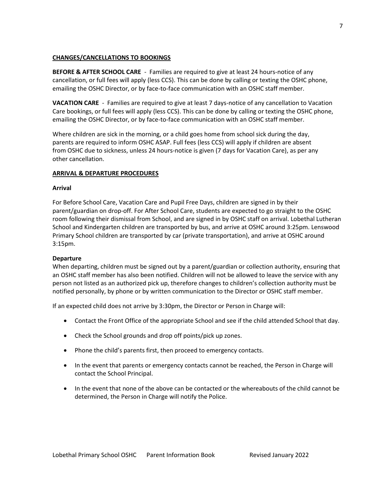#### **CHANGES/CANCELLATIONS TO BOOKINGS**

**BEFORE & AFTER SCHOOL CARE** - Families are required to give at least 24 hours-notice of any cancellation, or full fees will apply (less CCS). This can be done by calling or texting the OSHC phone, emailing the OSHC Director, or by face-to-face communication with an OSHC staff member.

**VACATION CARE** - Families are required to give at least 7 days-notice of any cancellation to Vacation Care bookings, or full fees will apply (less CCS). This can be done by calling or texting the OSHC phone, emailing the OSHC Director, or by face-to-face communication with an OSHC staff member.

Where children are sick in the morning, or a child goes home from school sick during the day, parents are required to inform OSHC ASAP. Full fees (less CCS) will apply if children are absent from OSHC due to sickness, unless 24 hours-notice is given (7 days for Vacation Care), as per any other cancellation.

#### **ARRIVAL & DEPARTURE PROCEDURES**

#### **Arrival**

For Before School Care, Vacation Care and Pupil Free Days, children are signed in by their parent/guardian on drop-off. For After School Care, students are expected to go straight to the OSHC room following their dismissal from School, and are signed in by OSHC staff on arrival. Lobethal Lutheran School and Kindergarten children are transported by bus, and arrive at OSHC around 3:25pm. Lenswood Primary School children are transported by car (private transportation), and arrive at OSHC around 3:15pm.

#### **Departure**

When departing, children must be signed out by a parent/guardian or collection authority, ensuring that an OSHC staff member has also been notified. Children will not be allowed to leave the service with any person not listed as an authorized pick up, therefore changes to children's collection authority must be notified personally, by phone or by written communication to the Director or OSHC staff member.

If an expected child does not arrive by 3:30pm, the Director or Person in Charge will:

- Contact the Front Office of the appropriate School and see if the child attended School that day.
- Check the School grounds and drop off points/pick up zones.
- Phone the child's parents first, then proceed to emergency contacts.
- In the event that parents or emergency contacts cannot be reached, the Person in Charge will contact the School Principal.
- In the event that none of the above can be contacted or the whereabouts of the child cannot be determined, the Person in Charge will notify the Police.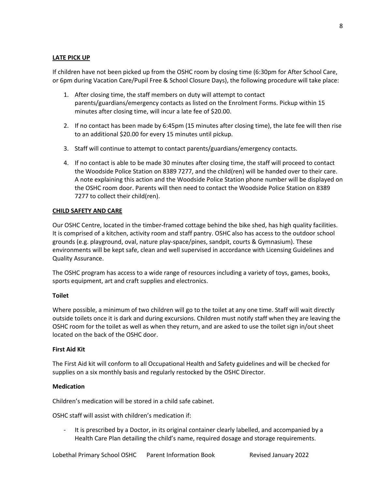#### **LATE PICK UP**

If children have not been picked up from the OSHC room by closing time (6:30pm for After School Care, or 6pm during Vacation Care/Pupil Free & School Closure Days), the following procedure will take place:

- 1. After closing time, the staff members on duty will attempt to contact parents/guardians/emergency contacts as listed on the Enrolment Forms. Pickup within 15 minutes after closing time, will incur a late fee of \$20.00.
- 2. If no contact has been made by 6:45pm (15 minutes after closing time), the late fee will then rise to an additional \$20.00 for every 15 minutes until pickup.
- 3. Staff will continue to attempt to contact parents/guardians/emergency contacts.
- 4. If no contact is able to be made 30 minutes after closing time, the staff will proceed to contact the Woodside Police Station on 8389 7277, and the child(ren) will be handed over to their care. A note explaining this action and the Woodside Police Station phone number will be displayed on the OSHC room door. Parents will then need to contact the Woodside Police Station on 8389 7277 to collect their child(ren).

#### **CHILD SAFETY AND CARE**

Our OSHC Centre, located in the timber-framed cottage behind the bike shed, has high quality facilities. It is comprised of a kitchen, activity room and staff pantry. OSHC also has access to the outdoor school grounds (e.g. playground, oval, nature play-space/pines, sandpit, courts & Gymnasium). These environments will be kept safe, clean and well supervised in accordance with Licensing Guidelines and Quality Assurance.

The OSHC program has access to a wide range of resources including a variety of toys, games, books, sports equipment, art and craft supplies and electronics.

#### **Toilet**

Where possible, a minimum of two children will go to the toilet at any one time. Staff will wait directly outside toilets once it is dark and during excursions. Children must notify staff when they are leaving the OSHC room for the toilet as well as when they return, and are asked to use the toilet sign in/out sheet located on the back of the OSHC door.

#### **First Aid Kit**

The First Aid kit will conform to all Occupational Health and Safety guidelines and will be checked for supplies on a six monthly basis and regularly restocked by the OSHC Director.

#### **Medication**

Children's medication will be stored in a child safe cabinet.

OSHC staff will assist with children's medication if:

It is prescribed by a Doctor, in its original container clearly labelled, and accompanied by a Health Care Plan detailing the child's name, required dosage and storage requirements.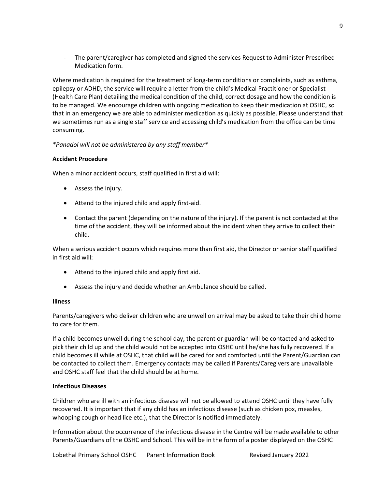The parent/caregiver has completed and signed the services Request to Administer Prescribed Medication form.

Where medication is required for the treatment of long-term conditions or complaints, such as asthma, epilepsy or ADHD, the service will require a letter from the child's Medical Practitioner or Specialist (Health Care Plan) detailing the medical condition of the child, correct dosage and how the condition is to be managed. We encourage children with ongoing medication to keep their medication at OSHC, so that in an emergency we are able to administer medication as quickly as possible. Please understand that we sometimes run as a single staff service and accessing child's medication from the office can be time consuming.

*\*Panadol will not be administered by any staff member\**

#### **Accident Procedure**

When a minor accident occurs, staff qualified in first aid will:

- Assess the injury.
- Attend to the injured child and apply first-aid.
- Contact the parent (depending on the nature of the injury). If the parent is not contacted at the time of the accident, they will be informed about the incident when they arrive to collect their child.

When a serious accident occurs which requires more than first aid, the Director or senior staff qualified in first aid will:

- Attend to the injured child and apply first aid.
- Assess the injury and decide whether an Ambulance should be called.

#### **Illness**

Parents/caregivers who deliver children who are unwell on arrival may be asked to take their child home to care for them.

If a child becomes unwell during the school day, the parent or guardian will be contacted and asked to pick their child up and the child would not be accepted into OSHC until he/she has fully recovered. If a child becomes ill while at OSHC, that child will be cared for and comforted until the Parent/Guardian can be contacted to collect them. Emergency contacts may be called if Parents/Caregivers are unavailable and OSHC staff feel that the child should be at home.

#### **Infectious Diseases**

Children who are ill with an infectious disease will not be allowed to attend OSHC until they have fully recovered. It is important that if any child has an infectious disease (such as chicken pox, measles, whooping cough or head lice etc.), that the Director is notified immediately.

Information about the occurrence of the infectious disease in the Centre will be made available to other Parents/Guardians of the OSHC and School. This will be in the form of a poster displayed on the OSHC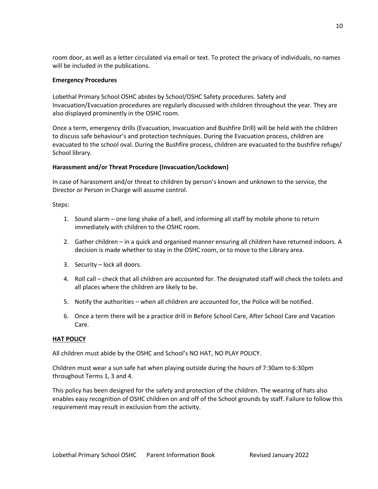room door, as well as a letter circulated via email or text. To protect the privacy of individuals, no names will be included in the publications.

#### **Emergency Procedures**

Lobethal Primary School OSHC abides by School/OSHC Safety procedures. Safety and Invacuation/Evacuation procedures are regularly discussed with children throughout the year. They are also displayed prominently in the OSHC room.

Once a term, emergency drills (Evacuation, Invacuation and Bushfire Drill) will be held with the children to discuss safe behaviour's and protection techniques. During the Evacuation process, children are evacuated to the school oval. During the Bushfire process, children are evacuated to the bushfire refuge/ School library.

#### **Harassment and/or Threat Procedure (Invacuation/Lockdown)**

In case of harassment and/or threat to children by person's known and unknown to the service, the Director or Person in Charge will assume control.

Steps:

- 1. Sound alarm one long shake of a bell, and informing all staff by mobile phone to return immediately with children to the OSHC room.
- 2. Gather children in a quick and organised manner ensuring all children have returned indoors. A decision is made whether to stay in the OSHC room, or to move to the Library area.
- 3. Security lock all doors.
- 4. Roll call check that all children are accounted for. The designated staff will check the toilets and all places where the children are likely to be.
- 5. Notify the authorities when all children are accounted for, the Police will be notified.
- 6. Once a term there will be a practice drill in Before School Care, After School Care and Vacation Care.

#### **HAT POLICY**

All children must abide by the OSHC and School's NO HAT, NO PLAY POLICY.

Children must wear a sun safe hat when playing outside during the hours of 7:30am to 6:30pm throughout Terms 1, 3 and 4.

This policy has been designed for the safety and protection of the children. The wearing of hats also enables easy recognition of OSHC children on and off of the School grounds by staff. Failure to follow this requirement may result in exclusion from the activity.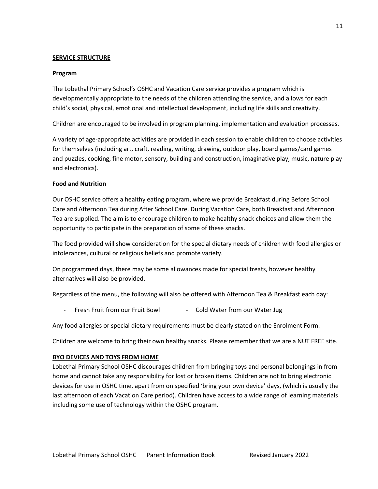#### **SERVICE STRUCTURE**

#### **Program**

The Lobethal Primary School's OSHC and Vacation Care service provides a program which is developmentally appropriate to the needs of the children attending the service, and allows for each child's social, physical, emotional and intellectual development, including life skills and creativity.

Children are encouraged to be involved in program planning, implementation and evaluation processes.

A variety of age-appropriate activities are provided in each session to enable children to choose activities for themselves (including art, craft, reading, writing, drawing, outdoor play, board games/card games and puzzles, cooking, fine motor, sensory, building and construction, imaginative play, music, nature play and electronics).

#### **Food and Nutrition**

Our OSHC service offers a healthy eating program, where we provide Breakfast during Before School Care and Afternoon Tea during After School Care. During Vacation Care, both Breakfast and Afternoon Tea are supplied. The aim is to encourage children to make healthy snack choices and allow them the opportunity to participate in the preparation of some of these snacks.

The food provided will show consideration for the special dietary needs of children with food allergies or intolerances, cultural or religious beliefs and promote variety.

On programmed days, there may be some allowances made for special treats, however healthy alternatives will also be provided.

Regardless of the menu, the following will also be offered with Afternoon Tea & Breakfast each day:

Fresh Fruit from our Fruit Bowl - Cold Water from our Water Jug

Any food allergies or special dietary requirements must be clearly stated on the Enrolment Form.

Children are welcome to bring their own healthy snacks. Please remember that we are a NUT FREE site.

#### **BYO DEVICES AND TOYS FROM HOME**

Lobethal Primary School OSHC discourages children from bringing toys and personal belongings in from home and cannot take any responsibility for lost or broken items. Children are not to bring electronic devices for use in OSHC time, apart from on specified 'bring your own device' days, (which is usually the last afternoon of each Vacation Care period). Children have access to a wide range of learning materials including some use of technology within the OSHC program.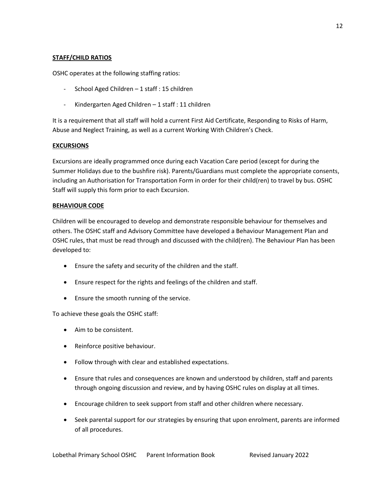#### **STAFF/CHILD RATIOS**

OSHC operates at the following staffing ratios:

- School Aged Children 1 staff : 15 children
- Kindergarten Aged Children 1 staff : 11 children

It is a requirement that all staff will hold a current First Aid Certificate, Responding to Risks of Harm, Abuse and Neglect Training, as well as a current Working With Children's Check.

#### **EXCURSIONS**

Excursions are ideally programmed once during each Vacation Care period (except for during the Summer Holidays due to the bushfire risk). Parents/Guardians must complete the appropriate consents, including an Authorisation for Transportation Form in order for their child(ren) to travel by bus. OSHC Staff will supply this form prior to each Excursion.

#### **BEHAVIOUR CODE**

Children will be encouraged to develop and demonstrate responsible behaviour for themselves and others. The OSHC staff and Advisory Committee have developed a Behaviour Management Plan and OSHC rules, that must be read through and discussed with the child(ren). The Behaviour Plan has been developed to:

- Ensure the safety and security of the children and the staff.
- Ensure respect for the rights and feelings of the children and staff.
- Ensure the smooth running of the service.

To achieve these goals the OSHC staff:

- Aim to be consistent.
- Reinforce positive behaviour.
- Follow through with clear and established expectations.
- Ensure that rules and consequences are known and understood by children, staff and parents through ongoing discussion and review, and by having OSHC rules on display at all times.
- Encourage children to seek support from staff and other children where necessary.
- Seek parental support for our strategies by ensuring that upon enrolment, parents are informed of all procedures.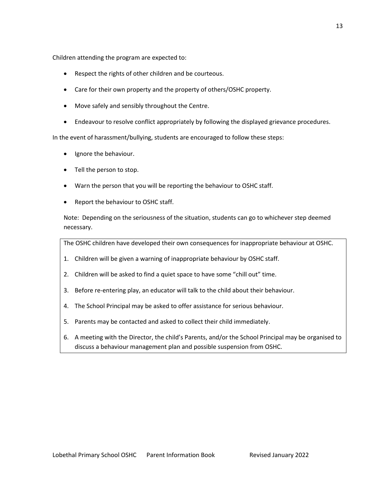Children attending the program are expected to:

- Respect the rights of other children and be courteous.
- Care for their own property and the property of others/OSHC property.
- Move safely and sensibly throughout the Centre.
- Endeavour to resolve conflict appropriately by following the displayed grievance procedures.

In the event of harassment/bullying, students are encouraged to follow these steps:

- Ignore the behaviour.
- Tell the person to stop.
- Warn the person that you will be reporting the behaviour to OSHC staff.
- Report the behaviour to OSHC staff.

Note: Depending on the seriousness of the situation, students can go to whichever step deemed necessary.

The OSHC children have developed their own consequences for inappropriate behaviour at OSHC.

- 1. Children will be given a warning of inappropriate behaviour by OSHC staff.
- 2. Children will be asked to find a quiet space to have some "chill out" time.
- 3. Before re-entering play, an educator will talk to the child about their behaviour.
- 4. The School Principal may be asked to offer assistance for serious behaviour.
- 5. Parents may be contacted and asked to collect their child immediately.
- 6. A meeting with the Director, the child's Parents, and/or the School Principal may be organised to discuss a behaviour management plan and possible suspension from OSHC.